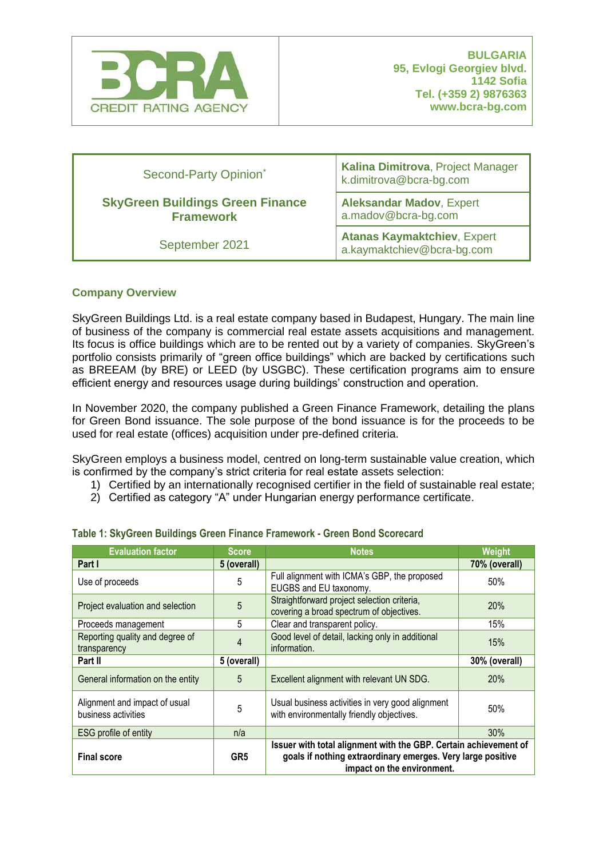

| Second-Party Opinion*                                       | Kalina Dimitrova, Project Manager<br>k.dimitrova@bcra-bg.com     |  |
|-------------------------------------------------------------|------------------------------------------------------------------|--|
| <b>SkyGreen Buildings Green Finance</b><br><b>Framework</b> | <b>Aleksandar Madov, Expert</b><br>a.madov@bcra-bg.com           |  |
| September 2021                                              | <b>Atanas Kaymaktchiev, Expert</b><br>a.kaymaktchiev@bcra-bg.com |  |

## **Company Overview**

SkyGreen Buildings Ltd. is a real estate company based in Budapest, Hungary. The main line of business of the company is commercial real estate assets acquisitions and management. Its focus is office buildings which are to be rented out by a variety of companies. SkyGreen's portfolio consists primarily of "green office buildings" which are backed by certifications such as BREEAM (by BRE) or LEED (by USGBC). These certification programs aim to ensure efficient energy and resources usage during buildings' construction and operation.

In November 2020, the company published a Green Finance Framework, detailing the plans for Green Bond issuance. The sole purpose of the bond issuance is for the proceeds to be used for real estate (offices) acquisition under pre-defined criteria.

SkyGreen employs a business model, centred on long-term sustainable value creation, which is confirmed by the company's strict criteria for real estate assets selection:

- 1) Certified by an internationally recognised certifier in the field of sustainable real estate;
- 2) Certified as category "A" under Hungarian energy performance certificate.

| <b>Evaluation factor</b>                             | Score           | <b>Notes</b>                                                                                                                                                  | <b>Weight</b> |
|------------------------------------------------------|-----------------|---------------------------------------------------------------------------------------------------------------------------------------------------------------|---------------|
| Part I                                               | 5 (overall)     |                                                                                                                                                               | 70% (overall) |
| Use of proceeds                                      | 5               | Full alignment with ICMA's GBP, the proposed<br>EUGBS and EU taxonomy.                                                                                        | 50%           |
| Project evaluation and selection                     | 5               | Straightforward project selection criteria,<br>covering a broad spectrum of objectives.                                                                       | 20%           |
| Proceeds management                                  | 5               | Clear and transparent policy.                                                                                                                                 | 15%           |
| Reporting quality and degree of<br>transparency      | 4               | Good level of detail, lacking only in additional<br>information.                                                                                              | 15%           |
| Part II                                              | 5 (overall)     |                                                                                                                                                               | 30% (overall) |
| General information on the entity                    | 5               | Excellent alignment with relevant UN SDG.                                                                                                                     | 20%           |
| Alignment and impact of usual<br>business activities | 5               | Usual business activities in very good alignment<br>with environmentally friendly objectives.                                                                 | 50%           |
| ESG profile of entity                                | n/a             |                                                                                                                                                               | 30%           |
| <b>Final score</b>                                   | GR <sub>5</sub> | Issuer with total alignment with the GBP. Certain achievement of<br>goals if nothing extraordinary emerges. Very large positive<br>impact on the environment. |               |

## **Table 1: SkyGreen Buildings Green Finance Framework - Green Bond Scorecard**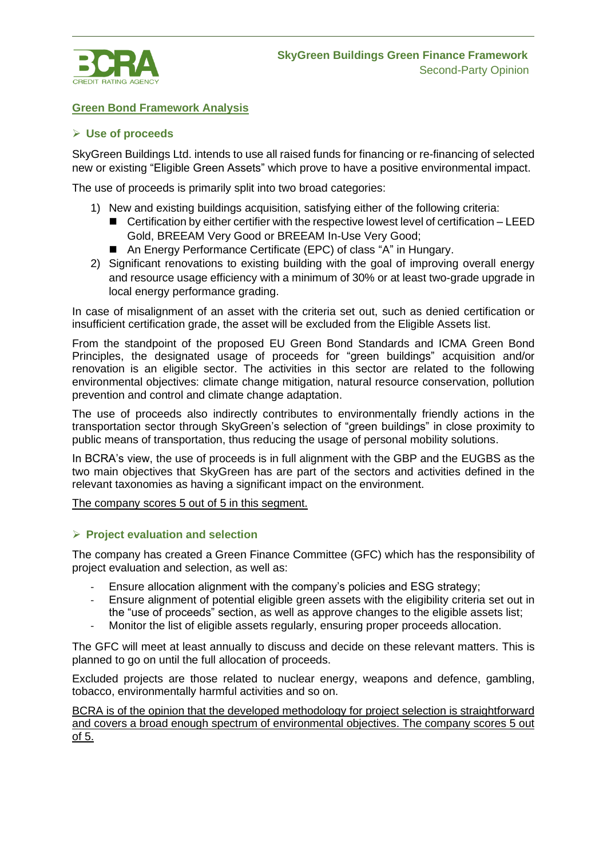

## **Green Bond Framework Analysis**

### ➢ **Use of proceeds**

SkyGreen Buildings Ltd. intends to use all raised funds for financing or re-financing of selected new or existing "Eligible Green Assets" which prove to have a positive environmental impact.

The use of proceeds is primarily split into two broad categories:

- 1) New and existing buildings acquisition, satisfying either of the following criteria:
	- Certification by either certifier with the respective lowest level of certification LEED Gold, BREEAM Very Good or BREEAM In-Use Very Good;
	- An Energy Performance Certificate (EPC) of class "A" in Hungary.
- 2) Significant renovations to existing building with the goal of improving overall energy and resource usage efficiency with a minimum of 30% or at least two-grade upgrade in local energy performance grading.

In case of misalignment of an asset with the criteria set out, such as denied certification or insufficient certification grade, the asset will be excluded from the Eligible Assets list.

From the standpoint of the proposed EU Green Bond Standards and ICMA Green Bond Principles, the designated usage of proceeds for "green buildings" acquisition and/or renovation is an eligible sector. The activities in this sector are related to the following environmental objectives: climate change mitigation, natural resource conservation, pollution prevention and control and climate change adaptation.

The use of proceeds also indirectly contributes to environmentally friendly actions in the transportation sector through SkyGreen's selection of "green buildings" in close proximity to public means of transportation, thus reducing the usage of personal mobility solutions.

In BCRA's view, the use of proceeds is in full alignment with the GBP and the EUGBS as the two main objectives that SkyGreen has are part of the sectors and activities defined in the relevant taxonomies as having a significant impact on the environment.

The company scores 5 out of 5 in this segment.

## ➢ **Project evaluation and selection**

The company has created a Green Finance Committee (GFC) which has the responsibility of project evaluation and selection, as well as:

- Ensure allocation alignment with the company's policies and ESG strategy;
- Ensure alignment of potential eligible green assets with the eligibility criteria set out in the "use of proceeds" section, as well as approve changes to the eligible assets list;
- Monitor the list of eligible assets regularly, ensuring proper proceeds allocation.

The GFC will meet at least annually to discuss and decide on these relevant matters. This is planned to go on until the full allocation of proceeds.

Excluded projects are those related to nuclear energy, weapons and defence, gambling, tobacco, environmentally harmful activities and so on.

BCRA is of the opinion that the developed methodology for project selection is straightforward and covers a broad enough spectrum of environmental objectives. The company scores 5 out of 5.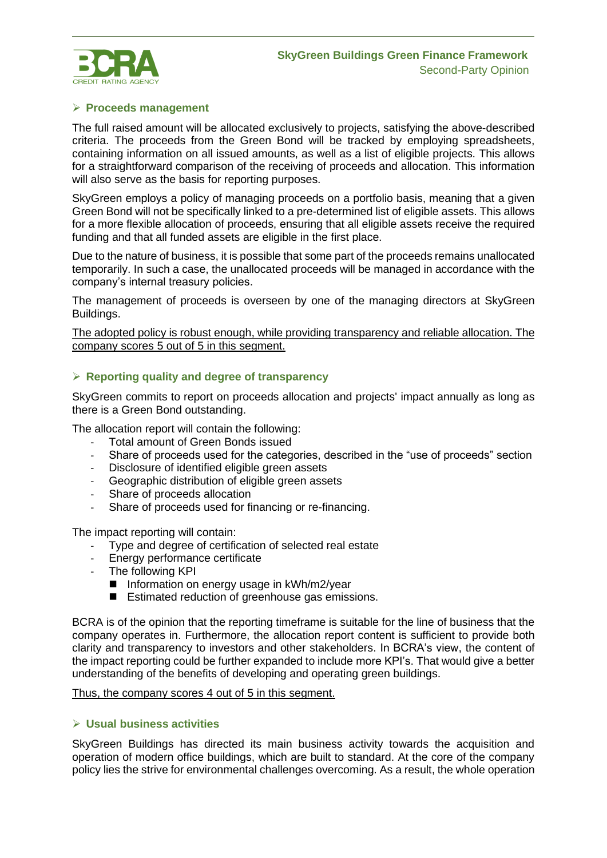

# ➢ **Proceeds management**

The full raised amount will be allocated exclusively to projects, satisfying the above-described criteria. The proceeds from the Green Bond will be tracked by employing spreadsheets, containing information on all issued amounts, as well as a list of eligible projects. This allows for a straightforward comparison of the receiving of proceeds and allocation. This information will also serve as the basis for reporting purposes.

SkyGreen employs a policy of managing proceeds on a portfolio basis, meaning that a given Green Bond will not be specifically linked to a pre-determined list of eligible assets. This allows for a more flexible allocation of proceeds, ensuring that all eligible assets receive the required funding and that all funded assets are eligible in the first place.

Due to the nature of business, it is possible that some part of the proceeds remains unallocated temporarily. In such a case, the unallocated proceeds will be managed in accordance with the company's internal treasury policies.

The management of proceeds is overseen by one of the managing directors at SkyGreen Buildings.

The adopted policy is robust enough, while providing transparency and reliable allocation. The company scores 5 out of 5 in this segment.

#### ➢ **Reporting quality and degree of transparency**

SkyGreen commits to report on proceeds allocation and projects' impact annually as long as there is a Green Bond outstanding.

The allocation report will contain the following:

- Total amount of Green Bonds issued
- Share of proceeds used for the categories, described in the "use of proceeds" section
- Disclosure of identified eligible green assets
- Geographic distribution of eligible green assets
- Share of proceeds allocation
- Share of proceeds used for financing or re-financing.

The impact reporting will contain:

- Type and degree of certification of selected real estate
- Energy performance certificate
- The following KPI
	- Information on energy usage in kWh/m2/year
	- Estimated reduction of greenhouse gas emissions.

BCRA is of the opinion that the reporting timeframe is suitable for the line of business that the company operates in. Furthermore, the allocation report content is sufficient to provide both clarity and transparency to investors and other stakeholders. In BCRA's view, the content of the impact reporting could be further expanded to include more KPI's. That would give a better understanding of the benefits of developing and operating green buildings.

#### Thus, the company scores 4 out of 5 in this segment.

## ➢ **Usual business activities**

SkyGreen Buildings has directed its main business activity towards the acquisition and operation of modern office buildings, which are built to standard. At the core of the company policy lies the strive for environmental challenges overcoming. As a result, the whole operation